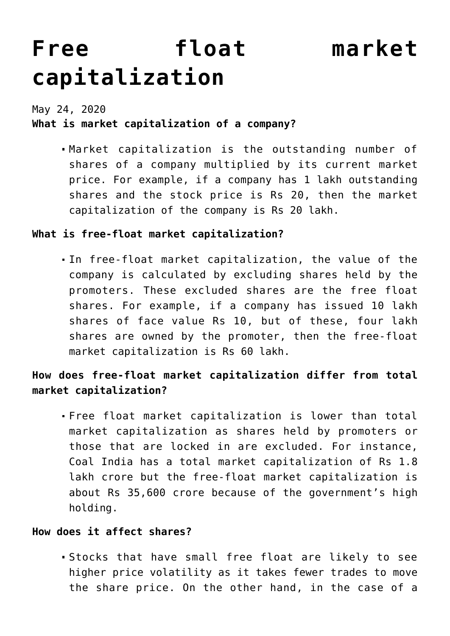# **[Free float market](https://journalsofindia.com/free-float-market-capitalization/) [capitalization](https://journalsofindia.com/free-float-market-capitalization/)**

May 24, 2020

### **What is market capitalization of a company?**

Market capitalization is the outstanding number of shares of a company multiplied by its current market price. For example, if a company has 1 lakh outstanding shares and the stock price is Rs 20, then the market capitalization of the company is Rs 20 lakh.

#### **What is free-float market capitalization?**

In free-float market capitalization, the value of the company is calculated by excluding shares held by the promoters. These excluded shares are the free float shares. For example, if a company has issued 10 lakh shares of face value Rs 10, but of these, four lakh shares are owned by the promoter, then the free-float market capitalization is Rs 60 lakh.

## **How does free-float market capitalization differ from total market capitalization?**

Free float market capitalization is lower than total market capitalization as shares held by promoters or those that are locked in are excluded. For instance, Coal India has a total market capitalization of Rs 1.8 lakh crore but the free-float market capitalization is about Rs 35,600 crore because of the government's high holding.

#### **How does it affect shares?**

Stocks that have small free float are likely to see higher price volatility as it takes fewer trades to move the share price. On the other hand, in the case of a